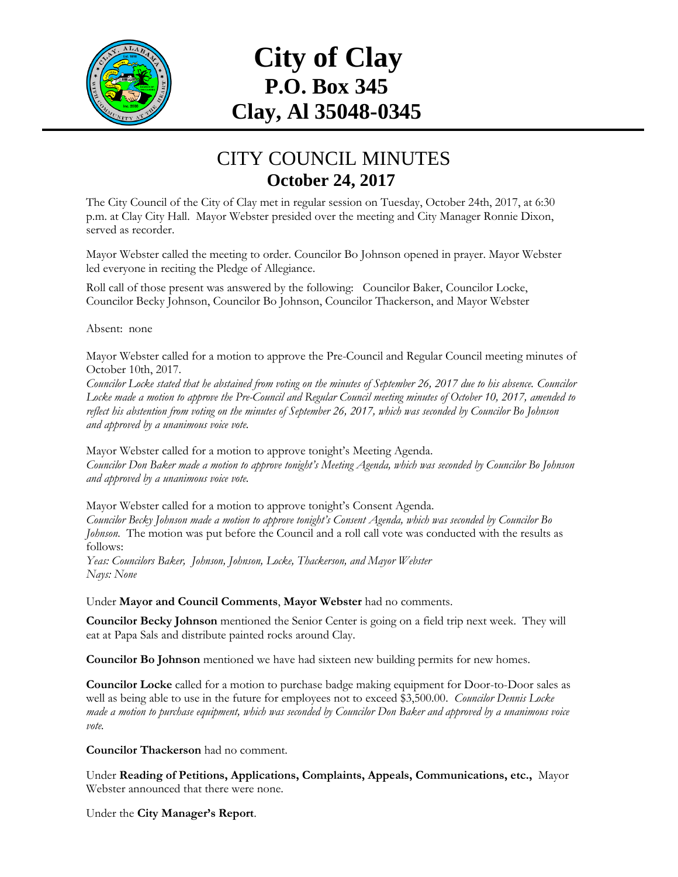

## **City of Clay P.O. Box 345 Clay, Al 35048-0345**

## CITY COUNCIL MINUTES **October 24, 2017**

The City Council of the City of Clay met in regular session on Tuesday, October 24th, 2017, at 6:30 p.m. at Clay City Hall. Mayor Webster presided over the meeting and City Manager Ronnie Dixon, served as recorder.

Mayor Webster called the meeting to order. Councilor Bo Johnson opened in prayer. Mayor Webster led everyone in reciting the Pledge of Allegiance.

Roll call of those present was answered by the following: Councilor Baker, Councilor Locke, Councilor Becky Johnson, Councilor Bo Johnson, Councilor Thackerson, and Mayor Webster

Absent: none

Mayor Webster called for a motion to approve the Pre-Council and Regular Council meeting minutes of October 10th, 2017.

*Councilor Locke stated that he abstained from voting on the minutes of September 26, 2017 due to his absence. Councilor Locke made a motion to approve the Pre-Council and Regular Council meeting minutes of October 10, 2017, amended to reflect his abstention from voting on the minutes of September 26, 2017, which was seconded by Councilor Bo Johnson and approved by a unanimous voice vote.*

Mayor Webster called for a motion to approve tonight's Meeting Agenda. *Councilor Don Baker made a motion to approve tonight's Meeting Agenda, which was seconded by Councilor Bo Johnson and approved by a unanimous voice vote.*

Mayor Webster called for a motion to approve tonight's Consent Agenda. *Councilor Becky Johnson made a motion to approve tonight's Consent Agenda, which was seconded by Councilor Bo Johnson.* The motion was put before the Council and a roll call vote was conducted with the results as follows:

*Yeas: Councilors Baker, Johnson, Johnson, Locke, Thackerson, and Mayor Webster Nays: None*

Under **Mayor and Council Comments**, **Mayor Webster** had no comments.

**Councilor Becky Johnson** mentioned the Senior Center is going on a field trip next week. They will eat at Papa Sals and distribute painted rocks around Clay.

**Councilor Bo Johnson** mentioned we have had sixteen new building permits for new homes.

**Councilor Locke** called for a motion to purchase badge making equipment for Door-to-Door sales as well as being able to use in the future for employees not to exceed \$3,500.00. *Councilor Dennis Locke made a motion to purchase equipment, which was seconded by Councilor Don Baker and approved by a unanimous voice vote.*

**Councilor Thackerson** had no comment.

Under **Reading of Petitions, Applications, Complaints, Appeals, Communications, etc.,** Mayor Webster announced that there were none.

Under the **City Manager's Report**.